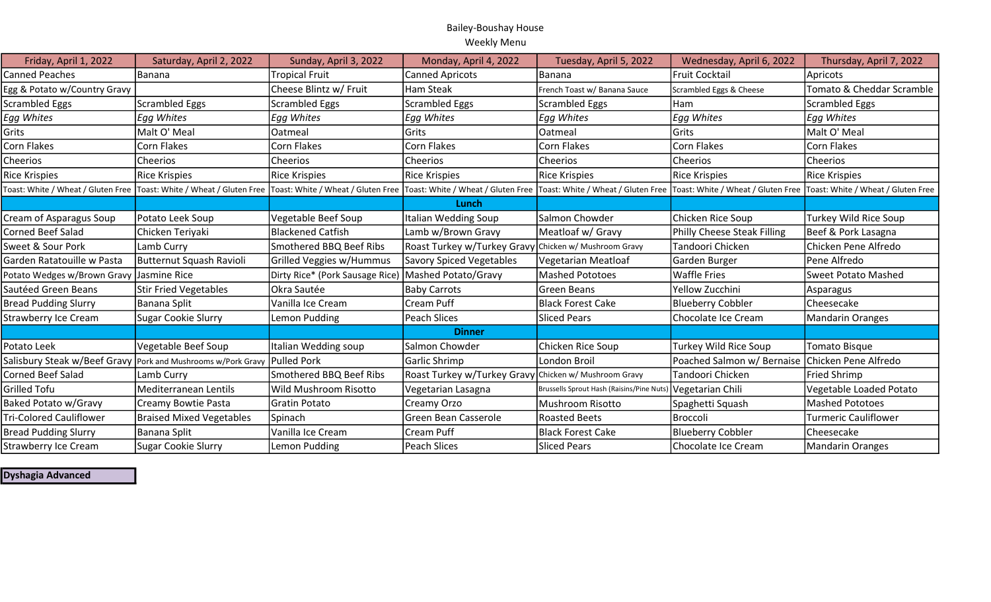## Bailey-Boushay House Weekly Menu

| Friday, April 1, 2022          | Saturday, April 2, 2022                                                  | Sunday, April 3, 2022           | Monday, April 4, 2022                                                                                                                                                                                                          | Tuesday, April 5, 2022                    | Wednesday, April 6, 2022                        | Thursday, April 7, 2022     |
|--------------------------------|--------------------------------------------------------------------------|---------------------------------|--------------------------------------------------------------------------------------------------------------------------------------------------------------------------------------------------------------------------------|-------------------------------------------|-------------------------------------------------|-----------------------------|
| <b>Canned Peaches</b>          | Banana                                                                   | <b>Tropical Fruit</b>           | <b>Canned Apricots</b>                                                                                                                                                                                                         | <b>Banana</b>                             | Fruit Cocktail                                  | Apricots                    |
| Egg & Potato w/Country Gravy   |                                                                          | Cheese Blintz w/ Fruit          | Ham Steak                                                                                                                                                                                                                      | French Toast w/ Banana Sauce              | Scrambled Eggs & Cheese                         | Tomato & Cheddar Scramble   |
| <b>Scrambled Eggs</b>          | Scrambled Eggs                                                           | <b>Scrambled Eggs</b>           | <b>Scrambled Eggs</b>                                                                                                                                                                                                          | <b>Scrambled Eggs</b>                     | Ham                                             | <b>Scrambled Eggs</b>       |
| Egg Whites                     | Egg Whites                                                               | Egg Whites                      | Egg Whites                                                                                                                                                                                                                     | Egg Whites                                | <b>Egg Whites</b>                               | Egg Whites                  |
| Grits                          | Malt O' Meal                                                             | Oatmeal                         | Grits                                                                                                                                                                                                                          | Oatmeal                                   | <b>Grits</b>                                    | Malt O' Meal                |
| Corn Flakes                    | Corn Flakes                                                              | Corn Flakes                     | Corn Flakes                                                                                                                                                                                                                    | <b>Corn Flakes</b>                        | Corn Flakes                                     | Corn Flakes                 |
| Cheerios                       | Cheerios                                                                 | <b>Cheerios</b>                 | <b>Cheerios</b>                                                                                                                                                                                                                | Cheerios                                  | <b>Cheerios</b>                                 | Cheerios                    |
| <b>Rice Krispies</b>           | <b>Rice Krispies</b>                                                     | <b>Rice Krispies</b>            | <b>Rice Krispies</b>                                                                                                                                                                                                           | <b>Rice Krispies</b>                      | Rice Krispies                                   | <b>Rice Krispies</b>        |
|                                |                                                                          |                                 | Toast: White / Wheat / Gluten Free  Toast: White / Wheat / Gluten Free  Toast: White / Wheat / Gluten Free  Toast: White / Wheat / Gluten Free  Toast: White / Wheat / Gluten Free  Toast: White / Wheat / Gluten Free  Toast: |                                           |                                                 |                             |
|                                |                                                                          |                                 | Lunch                                                                                                                                                                                                                          |                                           |                                                 |                             |
| Cream of Asparagus Soup        | Potato Leek Soup                                                         | Vegetable Beef Soup             | Italian Wedding Soup                                                                                                                                                                                                           | Salmon Chowder                            | Chicken Rice Soup                               | Turkey Wild Rice Soup       |
| <b>Corned Beef Salad</b>       | Chicken Teriyaki                                                         | Blackened Catfish               | Lamb w/Brown Gravy                                                                                                                                                                                                             | Meatloaf w/ Gravy                         | Philly Cheese Steak Filling                     | Beef & Pork Lasagna         |
| Sweet & Sour Pork              | Lamb Curry                                                               | Smothered BBQ Beef Ribs         | Roast Turkey w/Turkey Gravy Chicken w/ Mushroom Gravy                                                                                                                                                                          |                                           | Tandoori Chicken                                | Chicken Pene Alfredo        |
| Garden Ratatouille w Pasta     | <b>Butternut Squash Ravioli</b>                                          | Grilled Veggies w/Hummus        | <b>Savory Spiced Vegetables</b>                                                                                                                                                                                                | <b>Vegetarian Meatloaf</b>                | Garden Burger                                   | Pene Alfredo                |
| Potato Wedges w/Brown Gravy    | Jasmine Rice                                                             | Dirty Rice* (Pork Sausage Rice) | Mashed Potato/Gravy                                                                                                                                                                                                            | <b>Mashed Pototoes</b>                    | Waffle Fries                                    | <b>Sweet Potato Mashed</b>  |
| Sautéed Green Beans            | <b>Stir Fried Vegetables</b>                                             | Okra Sautée                     | <b>Baby Carrots</b>                                                                                                                                                                                                            | Green Beans                               | Yellow Zucchini                                 | Asparagus                   |
| <b>Bread Pudding Slurry</b>    | <b>Banana Split</b>                                                      | Vanilla Ice Cream               | Cream Puff                                                                                                                                                                                                                     | <b>Black Forest Cake</b>                  | <b>Blueberry Cobbler</b>                        | Cheesecake                  |
| <b>Strawberry Ice Cream</b>    | <b>Sugar Cookie Slurry</b>                                               | Lemon Pudding                   | Peach Slices                                                                                                                                                                                                                   | <b>Sliced Pears</b>                       | Chocolate Ice Cream                             | <b>Mandarin Oranges</b>     |
|                                |                                                                          |                                 | <b>Dinner</b>                                                                                                                                                                                                                  |                                           |                                                 |                             |
| Potato Leek                    | Vegetable Beef Soup                                                      | Italian Wedding soup            | Salmon Chowder                                                                                                                                                                                                                 | Chicken Rice Soup                         | Turkey Wild Rice Soup                           | <b>Tomato Bisque</b>        |
|                                | Salisbury Steak w/Beef Gravy Pork and Mushrooms w/Pork Gravy Pulled Pork |                                 | Garlic Shrimp                                                                                                                                                                                                                  | London Broil                              | Poached Salmon w/ Bernaise Chicken Pene Alfredo |                             |
| <b>Corned Beef Salad</b>       | Lamb Curry                                                               | Smothered BBQ Beef Ribs         | Roast Turkey w/Turkey Gravy Chicken w/ Mushroom Gravy                                                                                                                                                                          |                                           | Tandoori Chicken                                | <b>Fried Shrimp</b>         |
| <b>Grilled Tofu</b>            | Mediterranean Lentils                                                    | Wild Mushroom Risotto           | Vegetarian Lasagna                                                                                                                                                                                                             | Brussells Sprout Hash (Raisins/Pine Nuts) | Vegetarian Chili                                | Vegetable Loaded Potato     |
| <b>Baked Potato w/Gravy</b>    | Creamy Bowtie Pasta                                                      | Gratin Potato                   | Creamy Orzo                                                                                                                                                                                                                    | Mushroom Risotto                          | Spaghetti Squash                                | <b>Mashed Pototoes</b>      |
| <b>Tri-Colored Cauliflower</b> | <b>Braised Mixed Vegetables</b>                                          | Spinach                         | Green Bean Casserole                                                                                                                                                                                                           | <b>Roasted Beets</b>                      | <b>Broccoli</b>                                 | <b>Turmeric Cauliflower</b> |
| <b>Bread Pudding Slurry</b>    | Banana Split                                                             | Vanilla Ice Cream               | Cream Puff                                                                                                                                                                                                                     | <b>Black Forest Cake</b>                  | <b>Blueberry Cobbler</b>                        | Cheesecake                  |
| <b>Strawberry Ice Cream</b>    | <b>Sugar Cookie Slurry</b>                                               | Lemon Pudding                   | Peach Slices                                                                                                                                                                                                                   | <b>Sliced Pears</b>                       | Chocolate Ice Cream                             | <b>Mandarin Oranges</b>     |

Dyshagia Advanced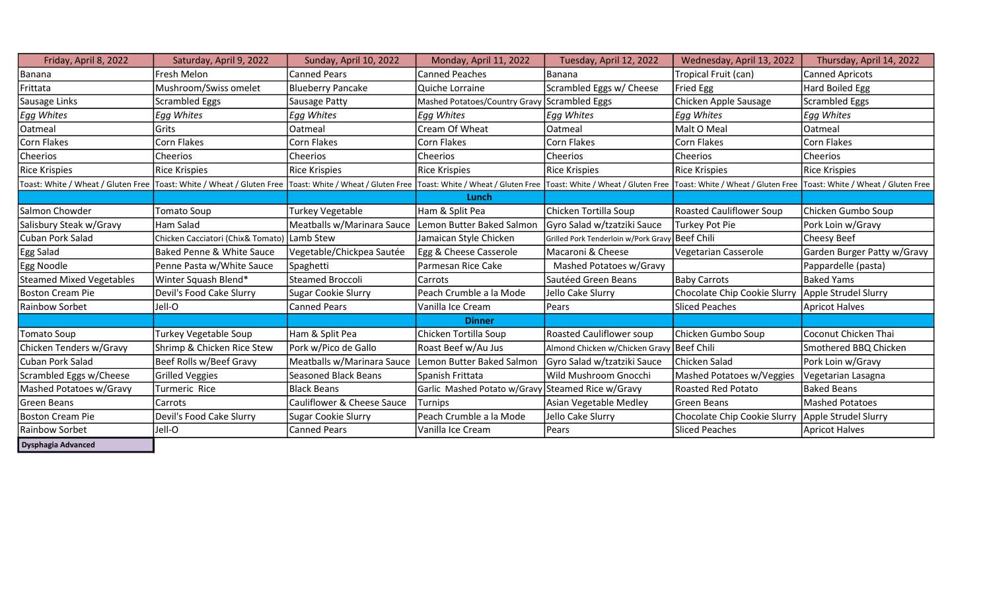| Friday, April 8, 2022           | Saturday, April 9, 2022                                                                                  | Sunday, April 10, 2022      | Monday, April 11, 2022                            | Tuesday, April 12, 2022                         | Wednesday, April 13, 2022       | Thursday, April 14, 2022                                                                                                                    |
|---------------------------------|----------------------------------------------------------------------------------------------------------|-----------------------------|---------------------------------------------------|-------------------------------------------------|---------------------------------|---------------------------------------------------------------------------------------------------------------------------------------------|
| Banana                          | Fresh Melon                                                                                              | <b>Canned Pears</b>         | <b>Canned Peaches</b>                             | Banana                                          | Tropical Fruit (can)            | <b>Canned Apricots</b>                                                                                                                      |
| Frittata                        | Mushroom/Swiss omelet                                                                                    | <b>Blueberry Pancake</b>    | Quiche Lorraine                                   | Scrambled Eggs w/ Cheese                        | Fried Egg                       | Hard Boiled Egg                                                                                                                             |
| Sausage Links                   | <b>Scrambled Eggs</b>                                                                                    | Sausage Patty               | Mashed Potatoes/Country Gravy Scrambled Eggs      |                                                 | Chicken Apple Sausage           | <b>Scrambled Eggs</b>                                                                                                                       |
| <b>Egg Whites</b>               | Egg Whites                                                                                               | <b>Egg Whites</b>           | Egg Whites                                        | Egg Whites                                      | <b>Egg Whites</b>               | <b>Egg Whites</b>                                                                                                                           |
| Oatmeal                         | Grits                                                                                                    | Oatmeal                     | Cream Of Wheat                                    | Oatmeal                                         | Malt O Meal                     | Oatmeal                                                                                                                                     |
| Corn Flakes                     | Corn Flakes                                                                                              | Corn Flakes                 | Corn Flakes                                       | Corn Flakes                                     | Corn Flakes                     | Corn Flakes                                                                                                                                 |
| Cheerios                        | Cheerios                                                                                                 | Cheerios                    | Cheerios                                          | <b>Cheerios</b>                                 | Cheerios                        | Cheerios                                                                                                                                    |
| <b>Rice Krispies</b>            | <b>Rice Krispies</b>                                                                                     | <b>Rice Krispies</b>        | <b>Rice Krispies</b>                              | <b>Rice Krispies</b>                            | <b>Rice Krispies</b>            | <b>Rice Krispies</b>                                                                                                                        |
|                                 | Toast: White / Wheat / Gluten Free Toast: White / Wheat / Gluten Free Toast: White / Wheat / Gluten Free |                             |                                                   |                                                 |                                 | Toast: White / Wheat / Gluten Free Toast: White / Wheat / Gluten Free Toast: White / Wheat / Gluten Free Toast: White / Wheat / Gluten Free |
|                                 |                                                                                                          |                             | Lunch                                             |                                                 |                                 |                                                                                                                                             |
| Salmon Chowder                  | <b>Tomato Soup</b>                                                                                       | <b>Turkey Vegetable</b>     | Ham & Split Pea                                   | Chicken Tortilla Soup                           | <b>Roasted Cauliflower Soup</b> | Chicken Gumbo Soup                                                                                                                          |
| Salisbury Steak w/Gravy         | Ham Salad                                                                                                | Meatballs w/Marinara Sauce  | Lemon Butter Baked Salmon                         | Gyro Salad w/tzatziki Sauce                     | Turkey Pot Pie                  | Pork Loin w/Gravy                                                                                                                           |
| Cuban Pork Salad                | Chicken Cacciatori (Chix& Tomato) Lamb Stew                                                              |                             | Jamaican Style Chicken                            | Grilled Pork Tenderloin w/Pork Gravy Beef Chili |                                 | Cheesy Beef                                                                                                                                 |
| Egg Salad                       | Baked Penne & White Sauce                                                                                | Vegetable/Chickpea Sautée   | Egg & Cheese Casserole                            | Macaroni & Cheese                               | Vegetarian Casserole            | Garden Burger Patty w/Gravy                                                                                                                 |
| Egg Noodle                      | Penne Pasta w/White Sauce                                                                                | Spaghetti                   | Parmesan Rice Cake                                | Mashed Potatoes w/Gravy                         |                                 | Pappardelle (pasta)                                                                                                                         |
| <b>Steamed Mixed Vegetables</b> | Winter Squash Blend*                                                                                     | <b>Steamed Broccoli</b>     | Carrots                                           | Sautéed Green Beans                             | <b>Baby Carrots</b>             | <b>Baked Yams</b>                                                                                                                           |
| <b>Boston Cream Pie</b>         | Devil's Food Cake Slurry                                                                                 | <b>Sugar Cookie Slurry</b>  | Peach Crumble a la Mode                           | Jello Cake Slurry                               | Chocolate Chip Cookie Slurry    | Apple Strudel Slurry                                                                                                                        |
| Rainbow Sorbet                  | Jell-O                                                                                                   | <b>Canned Pears</b>         | Vanilla Ice Cream                                 | <b>Pears</b>                                    | <b>Sliced Peaches</b>           | <b>Apricot Halves</b>                                                                                                                       |
|                                 |                                                                                                          |                             | <b>Dinner</b>                                     |                                                 |                                 |                                                                                                                                             |
| <b>Tomato Soup</b>              | Turkey Vegetable Soup                                                                                    | Ham & Split Pea             | Chicken Tortilla Soup                             | <b>Roasted Cauliflower soup</b>                 | Chicken Gumbo Soup              | Coconut Chicken Thai                                                                                                                        |
| Chicken Tenders w/Gravy         | Shrimp & Chicken Rice Stew                                                                               | Pork w/Pico de Gallo        | Roast Beef w/Au Jus                               | Almond Chicken w/Chicken Gravy Beef Chili       |                                 | Smothered BBQ Chicken                                                                                                                       |
| Cuban Pork Salad                | Beef Rolls w/Beef Gravy                                                                                  | Meatballs w/Marinara Sauce  | Lemon Butter Baked Salmon                         | Gyro Salad w/tzatziki Sauce                     | Chicken Salad                   | Pork Loin w/Gravy                                                                                                                           |
| Scrambled Eggs w/Cheese         | <b>Grilled Veggies</b>                                                                                   | <b>Seasoned Black Beans</b> | Spanish Frittata                                  | Wild Mushroom Gnocchi                           | Mashed Potatoes w/Veggies       | Vegetarian Lasagna                                                                                                                          |
| Mashed Potatoes w/Gravy         | Turmeric Rice                                                                                            | <b>Black Beans</b>          | Garlic Mashed Potato w/Gravy Steamed Rice w/Gravy |                                                 | <b>Roasted Red Potato</b>       | <b>Baked Beans</b>                                                                                                                          |
| Green Beans                     | Carrots                                                                                                  | Cauliflower & Cheese Sauce  | Turnips                                           | Asian Vegetable Medley                          | Green Beans                     | <b>Mashed Potatoes</b>                                                                                                                      |
| <b>Boston Cream Pie</b>         | Devil's Food Cake Slurry                                                                                 | Sugar Cookie Slurry         | Peach Crumble a la Mode                           | Jello Cake Slurry                               | Chocolate Chip Cookie Slurry    | Apple Strudel Slurry                                                                                                                        |
| Rainbow Sorbet                  | Jell-O                                                                                                   | <b>Canned Pears</b>         | Vanilla Ice Cream                                 | Pears                                           | <b>Sliced Peaches</b>           | <b>Apricot Halves</b>                                                                                                                       |
| <b>Dysphagia Advanced</b>       |                                                                                                          |                             |                                                   |                                                 |                                 |                                                                                                                                             |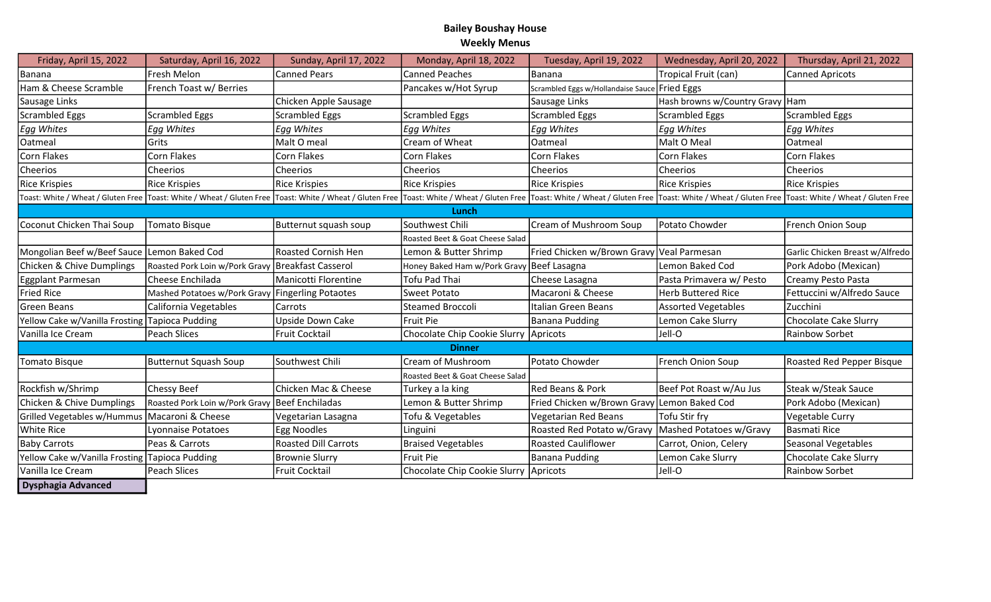## Bailey Boushay House Weekly Menus

| Friday, April 15, 2022                         | Saturday, April 16, 2022                          | Sunday, April 17, 2022      | Monday, April 18, 2022           | Tuesday, April 19, 2022                     | Wednesday, April 20, 2022                                                                                                                                                                                                      | Thursday, April 21, 2022         |
|------------------------------------------------|---------------------------------------------------|-----------------------------|----------------------------------|---------------------------------------------|--------------------------------------------------------------------------------------------------------------------------------------------------------------------------------------------------------------------------------|----------------------------------|
| Banana                                         | Fresh Melon                                       | <b>Canned Pears</b>         | <b>Canned Peaches</b>            | Banana                                      | Tropical Fruit (can)                                                                                                                                                                                                           | <b>Canned Apricots</b>           |
| Ham & Cheese Scramble                          | French Toast w/ Berries                           |                             | Pancakes w/Hot Syrup             | Scrambled Eggs w/Hollandaise Sauce          | <b>Fried Eggs</b>                                                                                                                                                                                                              |                                  |
| Sausage Links                                  |                                                   | Chicken Apple Sausage       |                                  | Sausage Links                               | Hash browns w/Country Gravy Ham                                                                                                                                                                                                |                                  |
| <b>Scrambled Eggs</b>                          | Scrambled Eggs                                    | <b>Scrambled Eggs</b>       | <b>Scrambled Eggs</b>            | Scrambled Eggs                              | Scrambled Eggs                                                                                                                                                                                                                 | <b>Scrambled Eggs</b>            |
| Egg Whites                                     | <b>Egg Whites</b>                                 | Egg Whites                  | Egg Whites                       | <b>Egg Whites</b>                           | Egg Whites                                                                                                                                                                                                                     | <b>Egg Whites</b>                |
| Oatmeal                                        | lGrits                                            | Malt O meal                 | Cream of Wheat                   | Oatmeal                                     | lMalt O Meal                                                                                                                                                                                                                   | Oatmeal                          |
| Corn Flakes                                    | Corn Flakes                                       | Corn Flakes                 | <b>Corn Flakes</b>               | Corn Flakes                                 | Corn Flakes                                                                                                                                                                                                                    | <b>Corn Flakes</b>               |
| Cheerios                                       | Cheerios                                          | Cheerios                    | Cheerios                         | Cheerios                                    | Cheerios                                                                                                                                                                                                                       | Cheerios                         |
| <b>Rice Krispies</b>                           | Rice Krispies                                     | Rice Krispies               | <b>Rice Krispies</b>             | Rice Krispies                               | Rice Krispies                                                                                                                                                                                                                  | <b>Rice Krispies</b>             |
|                                                |                                                   |                             |                                  |                                             | Toast: White / Wheat / Gluten Free  Toast: White / Wheat / Gluten Free  Toast: White / Wheat / Gluten Free  Toast: White / Wheat / Gluten Free  Toast: White / Wheat / Gluten Free  Toast: White / Wheat / Gluten Free  Toast: |                                  |
|                                                |                                                   |                             | Lunch                            |                                             |                                                                                                                                                                                                                                |                                  |
| Coconut Chicken Thai Soup                      | Tomato Bisque                                     | Butternut squash soup       | Southwest Chili                  | Cream of Mushroom Soup                      | Potato Chowder                                                                                                                                                                                                                 | French Onion Soup                |
|                                                |                                                   |                             | Roasted Beet & Goat Cheese Salad |                                             |                                                                                                                                                                                                                                |                                  |
| Mongolian Beef w/Beef Sauce                    | Lemon Baked Cod                                   | <b>Roasted Cornish Hen</b>  | Lemon & Butter Shrimp            | Fried Chicken w/Brown Gravy Veal Parmesan   |                                                                                                                                                                                                                                | Garlic Chicken Breast w/Alfredo  |
| Chicken & Chive Dumplings                      | Roasted Pork Loin w/Pork Gravy Breakfast Casserol |                             | Honey Baked Ham w/Pork Gravy     | Beef Lasagna                                | Lemon Baked Cod                                                                                                                                                                                                                | Pork Adobo (Mexican)             |
| Eggplant Parmesan                              | Cheese Enchilada                                  | Manicotti Florentine        | Tofu Pad Thai                    | Cheese Lasagna                              | Pasta Primavera w/ Pesto                                                                                                                                                                                                       | Creamy Pesto Pasta               |
| <b>Fried Rice</b>                              | Mashed Potatoes w/Pork Gravy Fingerling Potaotes  |                             | Sweet Potato                     | Macaroni & Cheese                           | <b>Herb Buttered Rice</b>                                                                                                                                                                                                      | Fettuccini w/Alfredo Sauce       |
| Green Beans                                    | California Vegetables                             | Carrots                     | <b>Steamed Broccoli</b>          | Italian Green Beans                         | Assorted Vegetables                                                                                                                                                                                                            | Zucchini                         |
| Yellow Cake w/Vanilla Frosting Tapioca Pudding |                                                   | Upside Down Cake            | <b>Fruit Pie</b>                 | Banana Pudding                              | Lemon Cake Slurry                                                                                                                                                                                                              | <b>Chocolate Cake Slurry</b>     |
| Vanilla Ice Cream                              | Peach Slices                                      | <b>Fruit Cocktail</b>       | Chocolate Chip Cookie Slurry     | Apricots                                    | Jell-O                                                                                                                                                                                                                         | Rainbow Sorbet                   |
|                                                |                                                   |                             | <b>Dinner</b>                    |                                             |                                                                                                                                                                                                                                |                                  |
| Tomato Bisque                                  | Butternut Squash Soup                             | Southwest Chili             | Cream of Mushroom                | Potato Chowder                              | French Onion Soup                                                                                                                                                                                                              | <b>Roasted Red Pepper Bisque</b> |
|                                                |                                                   |                             | Roasted Beet & Goat Cheese Salad |                                             |                                                                                                                                                                                                                                |                                  |
| Rockfish w/Shrimp                              | Chessy Beef                                       | Chicken Mac & Cheese        | Turkey a la king                 | Red Beans & Pork                            | Beef Pot Roast w/Au Jus                                                                                                                                                                                                        | Steak w/Steak Sauce              |
| <b>Chicken &amp; Chive Dumplings</b>           | Roasted Pork Loin w/Pork Gravy Beef Enchiladas    |                             | Lemon & Butter Shrimp            | Fried Chicken w/Brown Gravy Lemon Baked Cod |                                                                                                                                                                                                                                | Pork Adobo (Mexican)             |
| Grilled Vegetables w/Hummus                    | Macaroni & Cheese                                 | Vegetarian Lasagna          | Tofu & Vegetables                | <b>Vegetarian Red Beans</b>                 | Tofu Stir fry                                                                                                                                                                                                                  | Vegetable Curry                  |
| <b>White Rice</b>                              | Lyonnaise Potatoes                                | Egg Noodles                 | Linguini                         | Roasted Red Potato w/Gravy                  | Mashed Potatoes w/Gravy                                                                                                                                                                                                        | Basmati Rice                     |
| <b>Baby Carrots</b>                            | Peas & Carrots                                    | <b>Roasted Dill Carrots</b> | <b>Braised Vegetables</b>        | <b>Roasted Cauliflower</b>                  | Carrot, Onion, Celery                                                                                                                                                                                                          | Seasonal Vegetables              |
| Yellow Cake w/Vanilla Frosting Tapioca Pudding |                                                   | <b>Brownie Slurry</b>       | Fruit Pie                        | Banana Pudding                              | Lemon Cake Slurry                                                                                                                                                                                                              | Chocolate Cake Slurry            |
| Vanilla Ice Cream                              | Peach Slices                                      | Fruit Cocktail              | Chocolate Chip Cookie Slurry     | Apricots                                    | Jell-O                                                                                                                                                                                                                         | Rainbow Sorbet                   |
| <b>Dysphagia Advanced</b>                      |                                                   |                             |                                  |                                             |                                                                                                                                                                                                                                |                                  |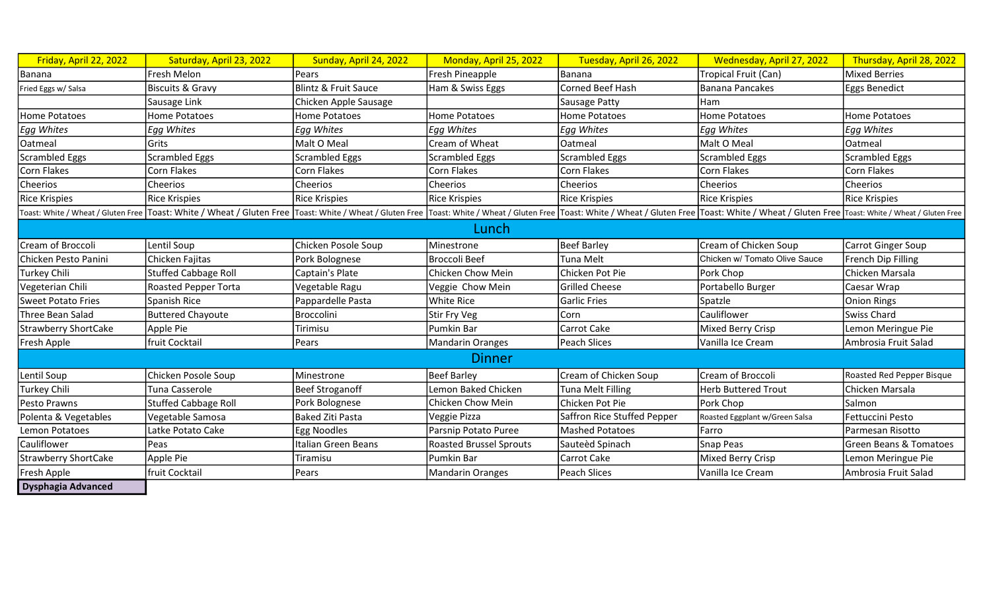| Friday, April 22, 2022      | Saturday, April 23, 2022                                                                                                                                                                                                       | Sunday, April 24, 2022 | Monday, April 25, 2022         | Tuesday, April 26, 2022     | Wednesday, April 27, 2022      | Thursday, April 28, 2022          |
|-----------------------------|--------------------------------------------------------------------------------------------------------------------------------------------------------------------------------------------------------------------------------|------------------------|--------------------------------|-----------------------------|--------------------------------|-----------------------------------|
| Banana                      | Fresh Melon                                                                                                                                                                                                                    | Pears                  | Fresh Pineapple                | Banana                      | Tropical Fruit (Can)           | <b>Mixed Berries</b>              |
| Fried Eggs w/ Salsa         | <b>Biscuits &amp; Gravy</b>                                                                                                                                                                                                    | Blintz & Fruit Sauce   | Ham & Swiss Eggs               | Corned Beef Hash            | Banana Pancakes                | <b>Eggs Benedict</b>              |
|                             | Sausage Link                                                                                                                                                                                                                   | Chicken Apple Sausage  |                                | Sausage Patty               | Ham                            |                                   |
| Home Potatoes               | <b>Home Potatoes</b>                                                                                                                                                                                                           | Home Potatoes          | <b>Home Potatoes</b>           | <b>Home Potatoes</b>        | <b>Home Potatoes</b>           | Home Potatoes                     |
| Egg Whites                  | <b>Egg Whites</b>                                                                                                                                                                                                              | Egg Whites             | Egg Whites                     | <b>Egg Whites</b>           | <b>Egg Whites</b>              | <b>Egg Whites</b>                 |
| Oatmeal                     | Grits                                                                                                                                                                                                                          | Malt O Meal            | Cream of Wheat                 | Oatmeal                     | Malt O Meal                    | Oatmeal                           |
| <b>Scrambled Eggs</b>       | <b>Scrambled Eggs</b>                                                                                                                                                                                                          | Scrambled Eggs         | Scrambled Eggs                 | <b>Scrambled Eggs</b>       | Scrambled Eggs                 | <b>Scrambled Eggs</b>             |
| Corn Flakes                 | Corn Flakes                                                                                                                                                                                                                    | Corn Flakes            | Corn Flakes                    | Corn Flakes                 | <b>Corn Flakes</b>             | Corn Flakes                       |
| Cheerios                    | Cheerios                                                                                                                                                                                                                       | Cheerios               | Cheerios                       | Cheerios                    | Cheerios                       | Cheerios                          |
| <b>Rice Krispies</b>        | <b>Rice Krispies</b>                                                                                                                                                                                                           | <b>Rice Krispies</b>   | Rice Krispies                  | <b>Rice Krispies</b>        | <b>Rice Krispies</b>           | <b>Rice Krispies</b>              |
|                             | Toast: White / Wheat / Gluten Free  Toast: White / Wheat / Gluten Free  Toast: White / Wheat / Gluten Free  Toast: White / Wheat / Gluten Free  Toast: White / Wheat / Gluten Free  Toast: White / Wheat / Gluten Free  Toast: |                        |                                |                             |                                |                                   |
|                             |                                                                                                                                                                                                                                |                        | Lunch                          |                             |                                |                                   |
| Cream of Broccoli           | Lentil Soup                                                                                                                                                                                                                    | Chicken Posole Soup    | Minestrone                     | Beef Barley                 | Cream of Chicken Soup          | Carrot Ginger Soup                |
| Chicken Pesto Panini        | Chicken Fajitas                                                                                                                                                                                                                | Pork Bolognese         | Broccoli Beef                  | <b>Tuna Melt</b>            | Chicken w/ Tomato Olive Sauce  | French Dip Filling                |
| Turkey Chili                | <b>Stuffed Cabbage Roll</b>                                                                                                                                                                                                    | Captain's Plate        | Chicken Chow Mein              | Chicken Pot Pie             | Pork Chop                      | Chicken Marsala                   |
| Vegeterian Chili            | Roasted Pepper Torta                                                                                                                                                                                                           | Vegetable Ragu         | Veggie Chow Mein               | <b>Grilled Cheese</b>       | Portabello Burger              | Caesar Wrap                       |
| <b>Sweet Potato Fries</b>   | Spanish Rice                                                                                                                                                                                                                   | Pappardelle Pasta      | White Rice                     | <b>Garlic Fries</b>         | Spatzle                        | <b>Onion Rings</b>                |
| Three Bean Salad            | <b>Buttered Chayoute</b>                                                                                                                                                                                                       | <b>Broccolini</b>      | Stir Fry Veg                   | Corn                        | Cauliflower                    | Swiss Chard                       |
| <b>Strawberry ShortCake</b> | Apple Pie                                                                                                                                                                                                                      | Tirimisu               | Pumkin Bar                     | Carrot Cake                 | Mixed Berry Crisp              | Lemon Meringue Pie                |
| Fresh Apple                 | fruit Cocktail                                                                                                                                                                                                                 | Pears                  | Mandarin Oranges               | Peach Slices                | Vanilla Ice Cream              | Ambrosia Fruit Salad              |
|                             |                                                                                                                                                                                                                                |                        | <b>Dinner</b>                  |                             |                                |                                   |
| Lentil Soup                 | Chicken Posole Soup                                                                                                                                                                                                            | Minestrone             | <b>Beef Barley</b>             | Cream of Chicken Soup       | Cream of Broccoli              | Roasted Red Pepper Bisque         |
| <b>Turkey Chili</b>         | Tuna Casserole                                                                                                                                                                                                                 | <b>Beef Stroganoff</b> | Lemon Baked Chicken            | <b>Tuna Melt Filling</b>    | <b>Herb Buttered Trout</b>     | Chicken Marsala                   |
| Pesto Prawns                | <b>Stuffed Cabbage Roll</b>                                                                                                                                                                                                    | Pork Bolognese         | Chicken Chow Mein              | Chicken Pot Pie             | Pork Chop                      | Salmon                            |
| Polenta & Vegetables        | Vegetable Samosa                                                                                                                                                                                                               | Baked Ziti Pasta       | Veggie Pizza                   | Saffron Rice Stuffed Pepper | Roasted Eggplant w/Green Salsa | Fettuccini Pesto                  |
| Lemon Potatoes              | Latke Potato Cake                                                                                                                                                                                                              | <b>Egg Noodles</b>     | Parsnip Potato Puree           | <b>Mashed Potatoes</b>      | Farro                          | Parmesan Risotto                  |
| Cauliflower                 | Peas                                                                                                                                                                                                                           | Italian Green Beans    | <b>Roasted Brussel Sprouts</b> | Sauteèd Spinach             | Snap Peas                      | <b>Green Beans &amp; Tomatoes</b> |
| <b>Strawberry ShortCake</b> | Apple Pie                                                                                                                                                                                                                      | Tiramisu               | Pumkin Bar                     | Carrot Cake                 | Mixed Berry Crisp              | Lemon Meringue Pie                |
| Fresh Apple                 | fruit Cocktail                                                                                                                                                                                                                 | Pears                  | Mandarin Oranges               | Peach Slices                | Vanilla Ice Cream              | Ambrosia Fruit Salad              |
| <b>Dysphagia Advanced</b>   |                                                                                                                                                                                                                                |                        |                                |                             |                                |                                   |